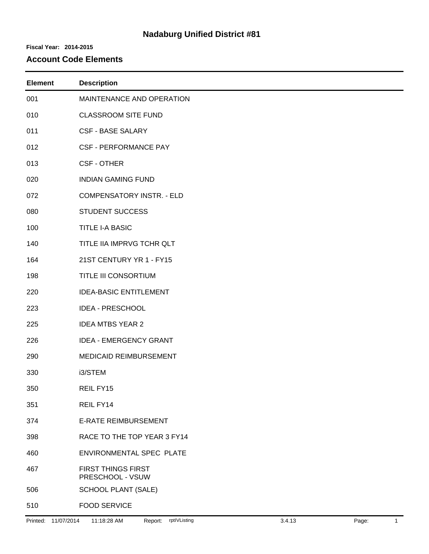# **Nadaburg Unified District #81**

#### **Fiscal Year: 2014-2015**

### **Account Code Elements**

| <b>Element</b> | <b>Description</b>                            |
|----------------|-----------------------------------------------|
| 001            | MAINTENANCE AND OPERATION                     |
| 010            | <b>CLASSROOM SITE FUND</b>                    |
| 011            | <b>CSF - BASE SALARY</b>                      |
| 012            | <b>CSF - PERFORMANCE PAY</b>                  |
| 013            | <b>CSF - OTHER</b>                            |
| 020            | <b>INDIAN GAMING FUND</b>                     |
| 072            | <b>COMPENSATORY INSTR. - ELD</b>              |
| 080            | <b>STUDENT SUCCESS</b>                        |
| 100            | <b>TITLE I-A BASIC</b>                        |
| 140            | TITLE IIA IMPRVG TCHR QLT                     |
| 164            | 21ST CENTURY YR 1 - FY15                      |
| 198            | TITLE III CONSORTIUM                          |
| 220            | <b>IDEA-BASIC ENTITLEMENT</b>                 |
| 223            | <b>IDEA - PRESCHOOL</b>                       |
| 225            | <b>IDEA MTBS YEAR 2</b>                       |
| 226            | <b>IDEA - EMERGENCY GRANT</b>                 |
| 290            | MEDICAID REIMBURSEMENT                        |
| 330            | i3/STEM                                       |
| 350            | REIL FY15                                     |
| 351            | REIL FY14                                     |
| 374            | <b>E-RATE REIMBURSEMENT</b>                   |
| 398            | RACE TO THE TOP YEAR 3 FY14                   |
| 460            | ENVIRONMENTAL SPEC PLATE                      |
| 467            | <b>FIRST THINGS FIRST</b><br>PRESCHOOL - VSUW |
| 506            | <b>SCHOOL PLANT (SALE)</b>                    |
| 510            | <b>FOOD SERVICE</b>                           |